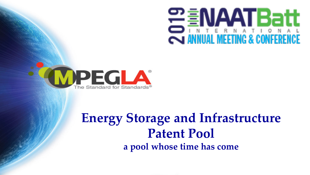



## **Energy Storage and Infrastructure Patent Pool a pool whose time has come**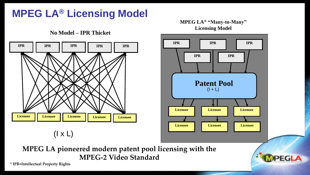## **MPEG LA® Licensing Model**

**No Model – IPR Thicket**



 $(I \times L)$ 

#### **MPEG LA® "Many-to-Many" Licensing Model**



**MPEG LA pioneered modern patent pool licensing with the MPEG-2 Video Standard**

**\* IPR=Intellectual Property Rights**

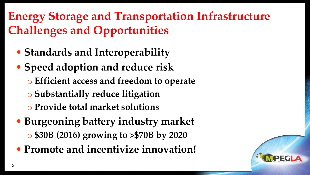## **Energy Storage and Transportation Infrastructure Challenges and Opportunities**

- **Standards and Interoperability**
- **Speed adoption and reduce risk**
	- o **Efficient access and freedom to operate**
	- o **Substantially reduce litigation**
	- o **Provide total market solutions**
- **Burgeoning battery industry market** o **\$30B (2016) growing to >\$70B by 2020**
- **Promote and incentivize innovation!**

3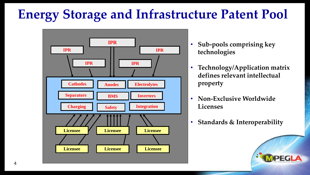# **Energy Storage and Infrastructure Patent Pool**



- **IPR let a let a let a let a let a sub-pools comprising key technologies**
	- **Technology/Application matrix defines relevant intellectual property**
	- **Non-Exclusive Worldwide Licenses**
	- **Standards & Interoperability**